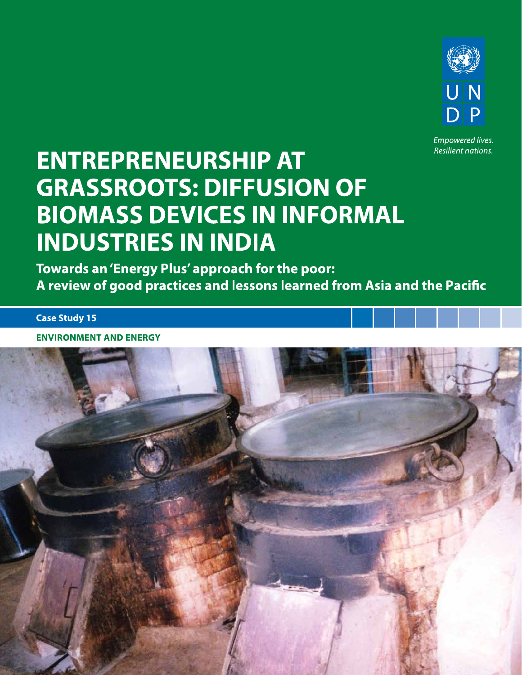

**Empowered lives.** Resilient nations.

# **ENTREPRENEURSHIP AT GRASSROOTS: DIFFUSION OF BIOMASS DEVICES IN INFORMAL INDUSTRIES IN INDIA**

Towards an 'Energy Plus' approach for the poor: A review of good practices and lessons learned from Asia and the Pacific

**Case Study 15** 

**ENVIRONMENT AND ENERGY** 

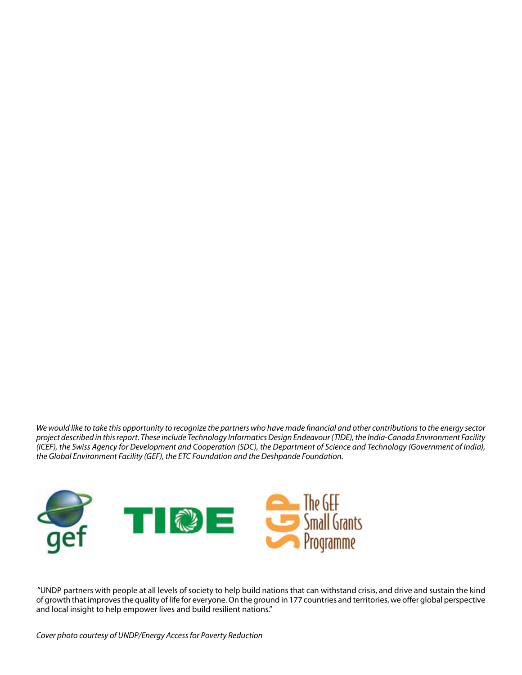*We would like to take this opportunity to recognize the partners who have made financial and other contributions to the energy sector project described in this report. These include Technology Informatics Design Endeavour (TIDE), the India-Canada Environment Facility (ICEF), the Swiss Agency for Development and Cooperation (SDC), the Department of Science and Technology (Government of India), the Global Environment Facility (GEF), the ETC Foundation and the Deshpande Foundation.* 



 "UNDP partners with people at all levels of society to help build nations that can withstand crisis, and drive and sustain the kind of growth that improves the quality of life for everyone. On the ground in 177 countries and territories, we offer global perspective and local insight to help empower lives and build resilient nations."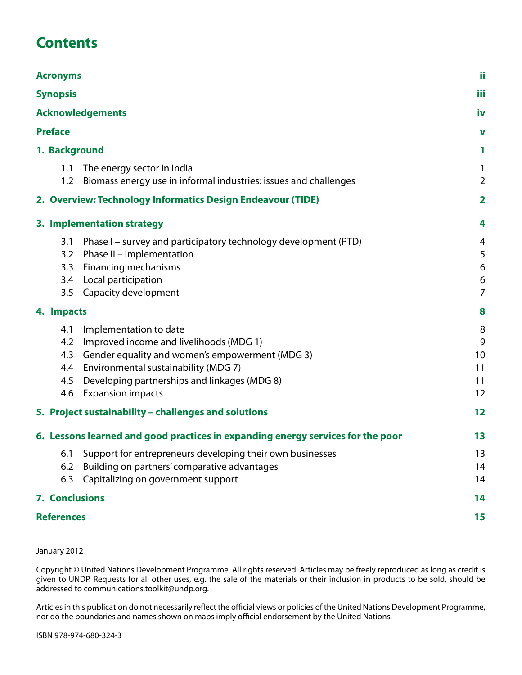# **Contents**

| <b>Acronyms</b><br><b>Synopsis</b><br><b>Acknowledgements</b> |                                 |                                                                                                                                                                                                                                              |                                |  |  |  |                |  |   |
|---------------------------------------------------------------|---------------------------------|----------------------------------------------------------------------------------------------------------------------------------------------------------------------------------------------------------------------------------------------|--------------------------------|--|--|--|----------------|--|---|
|                                                               |                                 |                                                                                                                                                                                                                                              |                                |  |  |  | <b>Preface</b> |  | v |
|                                                               |                                 |                                                                                                                                                                                                                                              |                                |  |  |  | 1. Background  |  |   |
|                                                               | 1.1<br>1.2                      | The energy sector in India<br>Biomass energy use in informal industries: issues and challenges                                                                                                                                               | 1<br>$\overline{2}$            |  |  |  |                |  |   |
|                                                               |                                 | 2. Overview: Technology Informatics Design Endeavour (TIDE)                                                                                                                                                                                  | $\overline{\mathbf{2}}$        |  |  |  |                |  |   |
|                                                               |                                 | 3. Implementation strategy                                                                                                                                                                                                                   | 4                              |  |  |  |                |  |   |
|                                                               | 3.1<br>3.2<br>3.3<br>3.4<br>3.5 | Phase I – survey and participatory technology development (PTD)<br>Phase II - implementation<br>Financing mechanisms<br>Local participation<br>Capacity development                                                                          | 4<br>5<br>6<br>6<br>7          |  |  |  |                |  |   |
|                                                               | 4. Impacts                      |                                                                                                                                                                                                                                              | 8                              |  |  |  |                |  |   |
|                                                               | 4.1<br>4.2<br>4.4<br>4.5<br>4.6 | Implementation to date<br>Improved income and livelihoods (MDG 1)<br>4.3 Gender equality and women's empowerment (MDG 3)<br>Environmental sustainability (MDG 7)<br>Developing partnerships and linkages (MDG 8)<br><b>Expansion impacts</b> | 8<br>9<br>10<br>11<br>11<br>12 |  |  |  |                |  |   |
|                                                               |                                 | 5. Project sustainability - challenges and solutions                                                                                                                                                                                         | 12                             |  |  |  |                |  |   |
|                                                               |                                 | 6. Lessons learned and good practices in expanding energy services for the poor                                                                                                                                                              | 13                             |  |  |  |                |  |   |
|                                                               | 6.1<br>6.2<br>6.3               | Support for entrepreneurs developing their own businesses<br>Building on partners' comparative advantages<br>Capitalizing on government support                                                                                              | 13<br>14<br>14                 |  |  |  |                |  |   |
|                                                               | 7. Conclusions                  |                                                                                                                                                                                                                                              |                                |  |  |  |                |  |   |
|                                                               | <b>References</b>               |                                                                                                                                                                                                                                              | 15                             |  |  |  |                |  |   |

#### January 2012

Copyright © United Nations Development Programme. All rights reserved. Articles may be freely reproduced as long as credit is given to UNDP. Requests for all other uses, e.g. the sale of the materials or their inclusion in products to be sold, should be addressed to communications.toolkit@undp.org.

Articles in this publication do not necessarily reflect the official views or policies of the United Nations Development Programme, nor do the boundaries and names shown on maps imply official endorsement by the United Nations.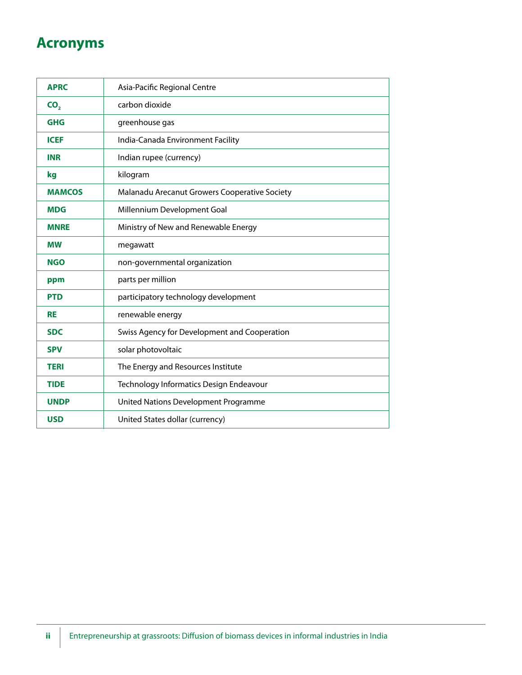# **Acronyms**

| <b>APRC</b>     | Asia-Pacific Regional Centre                  |  |  |
|-----------------|-----------------------------------------------|--|--|
| CO <sub>2</sub> | carbon dioxide                                |  |  |
| <b>GHG</b>      | greenhouse gas                                |  |  |
| <b>ICEF</b>     | India-Canada Environment Facility             |  |  |
| <b>INR</b>      | Indian rupee (currency)                       |  |  |
| kg              | kilogram                                      |  |  |
| <b>MAMCOS</b>   | Malanadu Arecanut Growers Cooperative Society |  |  |
| <b>MDG</b>      | Millennium Development Goal                   |  |  |
| <b>MNRE</b>     | Ministry of New and Renewable Energy          |  |  |
| <b>MW</b>       | megawatt                                      |  |  |
| <b>NGO</b>      | non-governmental organization                 |  |  |
| ppm             | parts per million                             |  |  |
| <b>PTD</b>      | participatory technology development          |  |  |
| <b>RE</b>       | renewable energy                              |  |  |
| <b>SDC</b>      | Swiss Agency for Development and Cooperation  |  |  |
| <b>SPV</b>      | solar photovoltaic                            |  |  |
| <b>TERI</b>     | The Energy and Resources Institute            |  |  |
| <b>TIDE</b>     | Technology Informatics Design Endeavour       |  |  |
| <b>UNDP</b>     | United Nations Development Programme          |  |  |
| <b>USD</b>      | United States dollar (currency)               |  |  |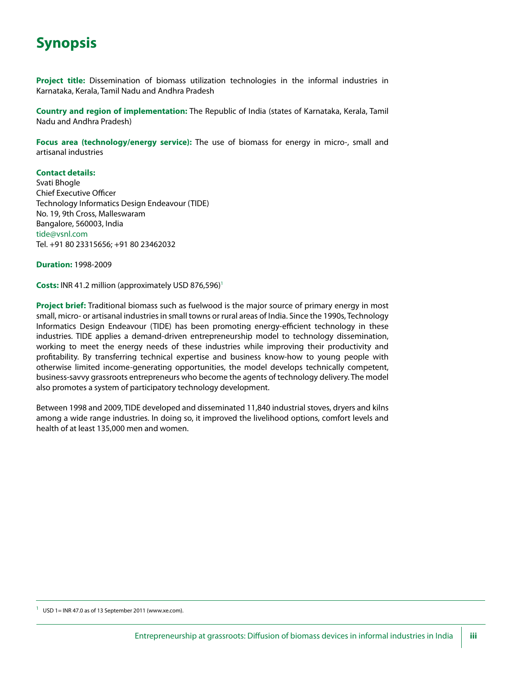# **Synopsis**

**Project title:** Dissemination of biomass utilization technologies in the informal industries in Karnataka, Kerala, Tamil Nadu and Andhra Pradesh

**Country and region of implementation:** The Republic of India (states of Karnataka, Kerala, Tamil Nadu and Andhra Pradesh)

**Focus area (technology/energy service):** The use of biomass for energy in micro-, small and artisanal industries

#### **Contact details:**

Svati Bhogle Chief Executive Officer Technology Informatics Design Endeavour (TIDE) No. 19, 9th Cross, Malleswaram Bangalore, 560003, India tide@vsnl.com Tel. +91 80 23315656; +91 80 23462032

**Duration:** 1998-2009

**Costs: INR 41.2 million (approximately USD 876,596)<sup>1</sup>** 

**Project brief:** Traditional biomass such as fuelwood is the major source of primary energy in most small, micro- or artisanal industries in small towns or rural areas of India. Since the 1990s, Technology Informatics Design Endeavour (TIDE) has been promoting energy-efficient technology in these industries. TIDE applies a demand-driven entrepreneurship model to technology dissemination, working to meet the energy needs of these industries while improving their productivity and profitability. By transferring technical expertise and business know-how to young people with otherwise limited income-generating opportunities, the model develops technically competent, business-savvy grassroots entrepreneurs who become the agents of technology delivery. The model also promotes a system of participatory technology development.

Between 1998 and 2009, TIDE developed and disseminated 11,840 industrial stoves, dryers and kilns among a wide range industries. In doing so, it improved the livelihood options, comfort levels and health of at least 135,000 men and women.

USD 1= INR 47.0 as of 13 September 2011 (www.xe.com).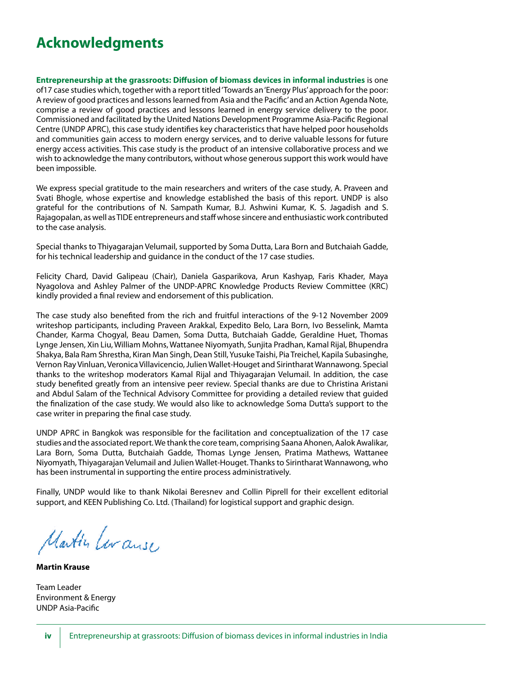# **Acknowledgments**

**Entrepreneurship at the grassroots: Diffusion of biomass devices in informal industries** is one of17 case studies which, together with a report titled 'Towards an 'Energy Plus' approach for the poor: A review of good practices and lessons learned from Asia and the Pacific' and an Action Agenda Note, comprise a review of good practices and lessons learned in energy service delivery to the poor. Commissioned and facilitated by the United Nations Development Programme Asia-Pacific Regional Centre (UNDP APRC), this case study identifies key characteristics that have helped poor households and communities gain access to modern energy services, and to derive valuable lessons for future energy access activities. This case study is the product of an intensive collaborative process and we wish to acknowledge the many contributors, without whose generous support this work would have been impossible.

We express special gratitude to the main researchers and writers of the case study, A. Praveen and Svati Bhogle, whose expertise and knowledge established the basis of this report. UNDP is also grateful for the contributions of N. Sampath Kumar, B.J. Ashwini Kumar, K. S. Jagadish and S. Rajagopalan, as well as TIDE entrepreneurs and staff whose sincere and enthusiastic work contributed to the case analysis.

Special thanks to Thiyagarajan Velumail, supported by Soma Dutta, Lara Born and Butchaiah Gadde, for his technical leadership and guidance in the conduct of the 17 case studies.

Felicity Chard, David Galipeau (Chair), Daniela Gasparikova, Arun Kashyap, Faris Khader, Maya Nyagolova and Ashley Palmer of the UNDP-APRC Knowledge Products Review Committee (KRC) kindly provided a final review and endorsement of this publication.

The case study also benefited from the rich and fruitful interactions of the 9-12 November 2009 writeshop participants, including Praveen Arakkal, Expedito Belo, Lara Born, Ivo Besselink, Mamta Chander, Karma Chogyal, Beau Damen, Soma Dutta, Butchaiah Gadde, Geraldine Huet, Thomas Lynge Jensen, Xin Liu, William Mohns, Wattanee Niyomyath, Sunjita Pradhan, Kamal Rijal, Bhupendra Shakya, Bala Ram Shrestha, Kiran Man Singh, Dean Still, Yusuke Taishi, Pia Treichel, Kapila Subasinghe, Vernon Ray Vinluan, Veronica Villavicencio, Julien Wallet-Houget and Sirintharat Wannawong. Special thanks to the writeshop moderators Kamal Rijal and Thiyagarajan Velumail. In addition, the case study benefited greatly from an intensive peer review. Special thanks are due to Christina Aristani and Abdul Salam of the Technical Advisory Committee for providing a detailed review that guided the finalization of the case study. We would also like to acknowledge Soma Dutta's support to the case writer in preparing the final case study.

UNDP APRC in Bangkok was responsible for the facilitation and conceptualization of the 17 case studies and the associated report. We thank the core team, comprising Saana Ahonen, Aalok Awalikar, Lara Born, Soma Dutta, Butchaiah Gadde, Thomas Lynge Jensen, Pratima Mathews, Wattanee Niyomyath, Thiyagarajan Velumail and Julien Wallet-Houget. Thanks to Sirintharat Wannawong, who has been instrumental in supporting the entire process administratively.

Finally, UNDP would like to thank Nikolai Beresnev and Collin Piprell for their excellent editorial support, and KEEN Publishing Co. Ltd. (Thailand) for logistical support and graphic design.

Martin Leranse

**Martin Krause**

Team Leader Environment & Energy UNDP Asia-Pacific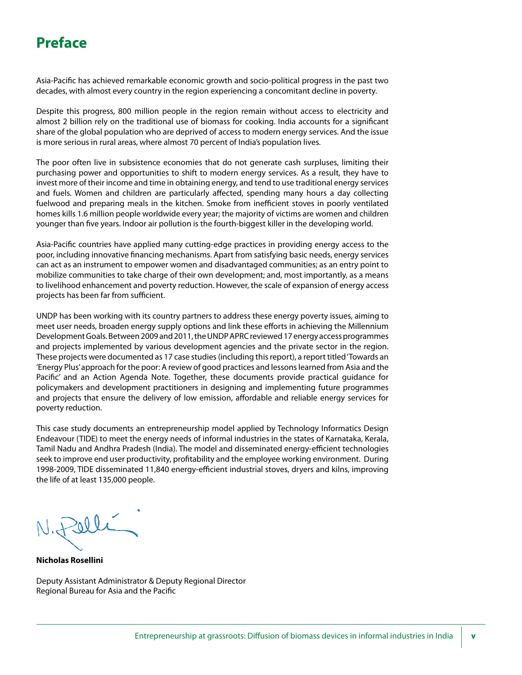## **Preface**

Asia-Pacific has achieved remarkable economic growth and socio-political progress in the past two decades, with almost every country in the region experiencing a concomitant decline in poverty.

Despite this progress, 800 million people in the region remain without access to electricity and almost 2 billion rely on the traditional use of biomass for cooking. India accounts for a significant share of the global population who are deprived of access to modern energy services. And the issue is more serious in rural areas, where almost 70 percent of India's population lives.

The poor often live in subsistence economies that do not generate cash surpluses, limiting their purchasing power and opportunities to shift to modern energy services. As a result, they have to invest more of their income and time in obtaining energy, and tend to use traditional energy services and fuels. Women and children are particularly affected, spending many hours a day collecting fuelwood and preparing meals in the kitchen. Smoke from inefficient stoves in poorly ventilated homes kills 1.6 million people worldwide every year; the majority of victims are women and children younger than five years. Indoor air pollution is the fourth-biggest killer in the developing world.

Asia-Pacific countries have applied many cutting-edge practices in providing energy access to the poor, including innovative financing mechanisms. Apart from satisfying basic needs, energy services can act as an instrument to empower women and disadvantaged communities; as an entry point to mobilize communities to take charge of their own development; and, most importantly, as a means to livelihood enhancement and poverty reduction. However, the scale of expansion of energy access projects has been far from sufficient.

UNDP has been working with its country partners to address these energy poverty issues, aiming to meet user needs, broaden energy supply options and link these efforts in achieving the Millennium Development Goals. Between 2009 and 2011, the UNDP APRC reviewed 17 energy access programmes and projects implemented by various development agencies and the private sector in the region. These projects were documented as 17 case studies (including this report), a report titled 'Towards an 'Energy Plus' approach for the poor: A review of good practices and lessons learned from Asia and the Pacific' and an Action Agenda Note. Together, these documents provide practical guidance for policymakers and development practitioners in designing and implementing future programmes and projects that ensure the delivery of low emission, affordable and reliable energy services for poverty reduction.

This case study documents an entrepreneurship model applied by Technology Informatics Design Endeavour (TIDE) to meet the energy needs of informal industries in the states of Karnataka, Kerala, Tamil Nadu and Andhra Pradesh (India). The model and disseminated energy-efficient technologies seek to improve end user productivity, profitability and the employee working environment. During 1998-2009, TIDE disseminated 11,840 energy-efficient industrial stoves, dryers and kilns, improving the life of at least 135,000 people.

Selli

**Nicholas Rosellini**

Deputy Assistant Administrator & Deputy Regional Director Regional Bureau for Asia and the Pacific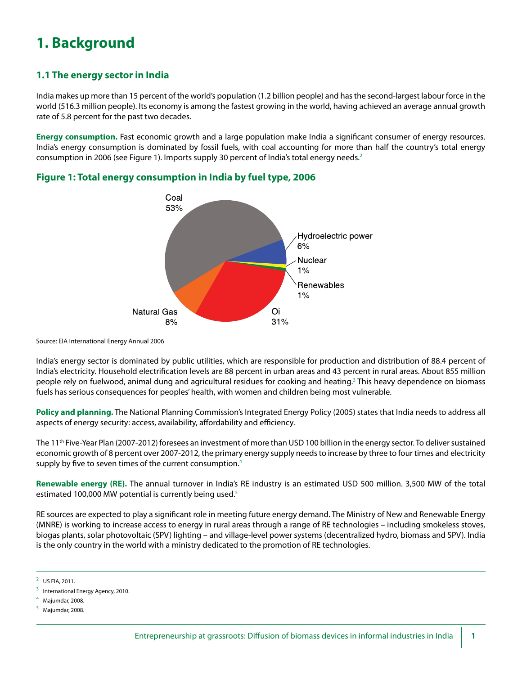# **1. Background**

### **1.1 The energy sector in India**

India makes up more than 15 percent of the world's population (1.2 billion people) and has the second-largest labour force in the world (516.3 million people). Its economy is among the fastest growing in the world, having achieved an average annual growth rate of 5.8 percent for the past two decades.

**Energy consumption.** Fast economic growth and a large population make India a significant consumer of energy resources. India's energy consumption is dominated by fossil fuels, with coal accounting for more than half the country's total energy consumption in 2006 (see Figure 1). Imports supply 30 percent of India's total energy needs.<sup>2</sup>



**Figure 1: Total energy consumption in India by fuel type, 2006**

Source: EIA International Energy Annual 2006

India's energy sector is dominated by public utilities, which are responsible for production and distribution of 88.4 percent of India's electricity. Household electrification levels are 88 percent in urban areas and 43 percent in rural areas. About 855 million people rely on fuelwood, animal dung and agricultural residues for cooking and heating.<sup>3</sup> This heavy dependence on biomass fuels has serious consequences for peoples' health, with women and children being most vulnerable.

**Policy and planning.** The National Planning Commission's Integrated Energy Policy (2005) states that India needs to address all aspects of energy security: access, availability, affordability and efficiency.

The 11<sup>th</sup> Five-Year Plan (2007-2012) foresees an investment of more than USD 100 billion in the energy sector. To deliver sustained economic growth of 8 percent over 2007-2012, the primary energy supply needs to increase by three to four times and electricity supply by five to seven times of the current consumption.<sup>4</sup>

**Renewable energy (RE).** The annual turnover in India's RE industry is an estimated USD 500 million. 3,500 MW of the total estimated 100,000 MW potential is currently being used.<sup>5</sup>

RE sources are expected to play a significant role in meeting future energy demand. The Ministry of New and Renewable Energy (MNRE) is working to increase access to energy in rural areas through a range of RE technologies – including smokeless stoves, biogas plants, solar photovoltaic (SPV) lighting – and village-level power systems (decentralized hydro, biomass and SPV). India is the only country in the world with a ministry dedicated to the promotion of RE technologies.

<sup>&</sup>lt;sup>2</sup> US EIA, 2011.

International Energy Agency, 2010.

 $4$  Majumdar, 2008.

Majumdar, 2008.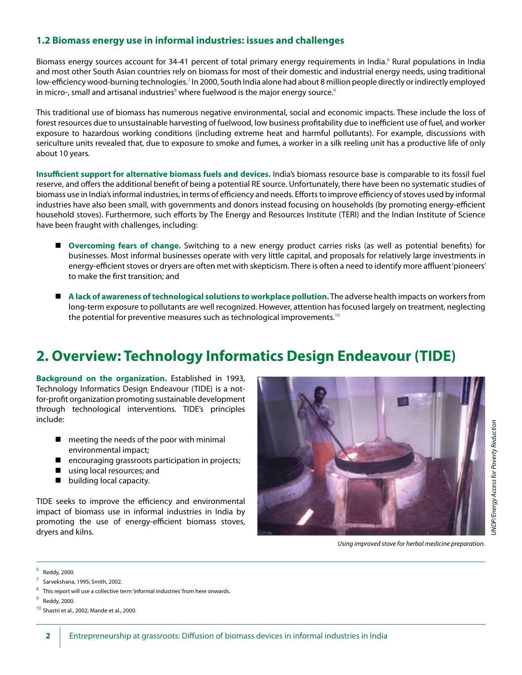### **1.2 Biomass energy use in informal industries: issues and challenges**

Biomass energy sources account for 34-41 percent of total primary energy requirements in India.<sup>6</sup> Rural populations in India and most other South Asian countries rely on biomass for most of their domestic and industrial energy needs, using traditional low-efficiency wood-burning technologies.<sup>7</sup> In 2000, South India alone had about 8 million people directly or indirectly employed in micro-, small and artisanal industries $^{\text{\tiny 8}}$  where fuelwood is the major energy source. $^{\text{\tiny 9}}$ 

This traditional use of biomass has numerous negative environmental, social and economic impacts. These include the loss of forest resources due to unsustainable harvesting of fuelwood, low business profitability due to inefficient use of fuel, and worker exposure to hazardous working conditions (including extreme heat and harmful pollutants). For example, discussions with sericulture units revealed that, due to exposure to smoke and fumes, a worker in a silk reeling unit has a productive life of only about 10 years.

**Insufficient support for alternative biomass fuels and devices.** India's biomass resource base is comparable to its fossil fuel reserve, and offers the additional benefit of being a potential RE source. Unfortunately, there have been no systematic studies of biomass use in India's informal industries, in terms of efficiency and needs. Efforts to improve efficiency of stoves used by informal industries have also been small, with governments and donors instead focusing on households (by promoting energy-efficient household stoves). Furthermore, such efforts by The Energy and Resources Institute (TERI) and the Indian Institute of Science have been fraught with challenges, including:

- n **Overcoming fears of change.** Switching to a new energy product carries risks (as well as potential benefits) for businesses. Most informal businesses operate with very little capital, and proposals for relatively large investments in energy-efficient stoves or dryers are often met with skepticism. There is often a need to identify more affluent 'pioneers' to make the first transition; and
- A lack of awareness of technological solutions to workplace pollution. The adverse health impacts on workers from long-term exposure to pollutants are well recognized. However, attention has focused largely on treatment, neglecting the potential for preventive measures such as technological improvements.10

# **2. Overview: Technology Informatics Design Endeavour (TIDE)**

**Background on the organization.** Established in 1993, Technology Informatics Design Endeavour (TIDE) is a notfor-profit organization promoting sustainable development through technological interventions. TIDE's principles include:

- $\blacksquare$  meeting the needs of the poor with minimal environmental impact;
- $\blacksquare$  encouraging grassroots participation in projects;
- $\blacksquare$  using local resources; and
- $\blacksquare$  building local capacity.

TIDE seeks to improve the efficiency and environmental impact of biomass use in informal industries in India by promoting the use of energy-efficient biomass stoves, dryers and kilns.



*Using improved stove for herbal medicine preparation.*

 $6$  Reddy, 2000.

<sup>7</sup> Sarvekshana, 1995; Smith, 2002.

 $8$  This report will use a collective term 'informal industries' from here onwards.

 $9$  Reddy, 2000.

 $10$  Shastri et al., 2002; Mande et al., 2000.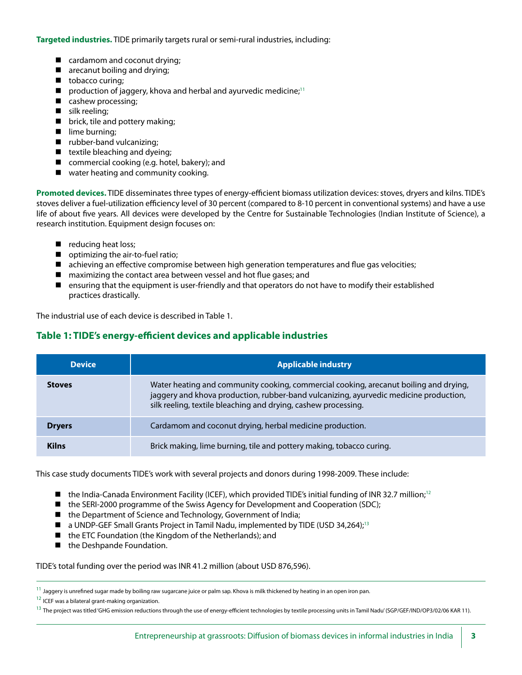**Targeted industries.** TIDE primarily targets rural or semi-rural industries, including:

- cardamom and coconut drying;
- $\blacksquare$  arecanut boiling and drying;
- $\blacksquare$  tobacco curing;
- production of jaggery, khova and herbal and ayurvedic medicine;<sup>11</sup>
- $\blacksquare$  cashew processing;
- $\blacksquare$  silk reeling;
- $\blacksquare$  brick, tile and pottery making;
- $\blacksquare$  lime burning;
- $\blacksquare$  rubber-band vulcanizing;
- $\blacksquare$  textile bleaching and dyeing;
- $\blacksquare$  commercial cooking (e.g. hotel, bakery); and
- $\blacksquare$  water heating and community cooking.

**Promoted devices.** TIDE disseminates three types of energy-efficient biomass utilization devices: stoves, dryers and kilns. TIDE's stoves deliver a fuel-utilization efficiency level of 30 percent (compared to 8-10 percent in conventional systems) and have a use life of about five years. All devices were developed by the Centre for Sustainable Technologies (Indian Institute of Science), a research institution. Equipment design focuses on:

- $\blacksquare$  reducing heat loss;
- $\Box$  optimizing the air-to-fuel ratio;
- $\blacksquare$  achieving an effective compromise between high generation temperatures and flue gas velocities;
- $\blacksquare$  maximizing the contact area between vessel and hot flue gases; and
- **n** ensuring that the equipment is user-friendly and that operators do not have to modify their established practices drastically.

The industrial use of each device is described in Table 1.

### **Table 1: TIDE's energy-efficient devices and applicable industries**

| <b>Device</b> | <b>Applicable industry</b>                                                                                                                                                                                                                       |
|---------------|--------------------------------------------------------------------------------------------------------------------------------------------------------------------------------------------------------------------------------------------------|
| <b>Stoves</b> | Water heating and community cooking, commercial cooking, arecanut boiling and drying,<br>jaggery and khova production, rubber-band vulcanizing, ayurvedic medicine production,<br>silk reeling, textile bleaching and drying, cashew processing. |
| <b>Dryers</b> | Cardamom and coconut drying, herbal medicine production.                                                                                                                                                                                         |
| <b>Kilns</b>  | Brick making, lime burning, tile and pottery making, tobacco curing.                                                                                                                                                                             |

This case study documents TIDE's work with several projects and donors during 1998-2009. These include:

- n the India-Canada Environment Facility (ICEF), which provided TIDE's initial funding of INR 32.7 million;<sup>12</sup>
- $\blacksquare$  the SERI-2000 programme of the Swiss Agency for Development and Cooperation (SDC);
- the Department of Science and Technology, Government of India;
- $\blacksquare$  a UNDP-GEF Small Grants Project in Tamil Nadu, implemented by TIDE (USD 34,264);<sup>13</sup>
- $\blacksquare$  the ETC Foundation (the Kingdom of the Netherlands); and
- $\blacksquare$  the Deshpande Foundation.

TIDE's total funding over the period was INR 41.2 million (about USD 876,596).

 $11$  Jaggery is unrefined sugar made by boiling raw sugarcane juice or palm sap. Khova is milk thickened by heating in an open iron pan.

 $12$  ICEF was a bilateral grant-making organization.

<sup>&</sup>lt;sup>13</sup> The project was titled 'GHG emission reductions through the use of energy-efficient technologies by textile processing units in Tamil Nadu' (SGP/GEF/IND/OP3/02/06 KAR 11).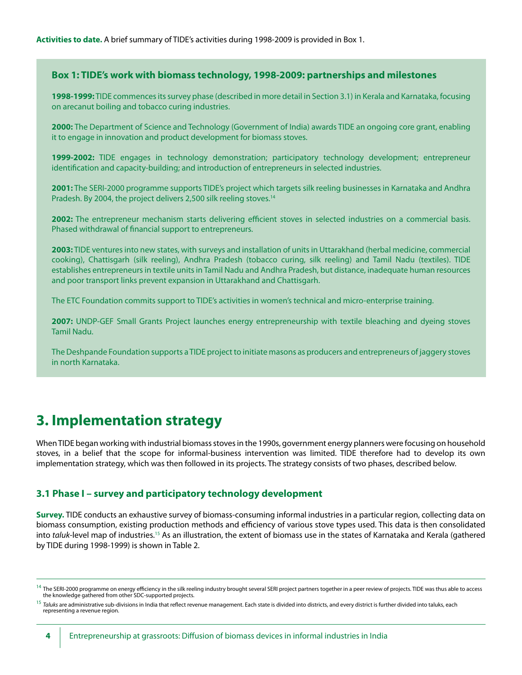#### **Box 1: TIDE's work with biomass technology, 1998-2009: partnerships and milestones**

**1998-1999:** TIDE commences its survey phase (described in more detail in Section 3.1) in Kerala and Karnataka, focusing on arecanut boiling and tobacco curing industries.

**2000:** The Department of Science and Technology (Government of India) awards TIDE an ongoing core grant, enabling it to engage in innovation and product development for biomass stoves.

**1999-2002:** TIDE engages in technology demonstration; participatory technology development; entrepreneur identification and capacity-building; and introduction of entrepreneurs in selected industries.

**2001:** The SERI-2000 programme supports TIDE's project which targets silk reeling businesses in Karnataka and Andhra Pradesh. By 2004, the project delivers 2,500 silk reeling stoves.<sup>14</sup>

**2002:** The entrepreneur mechanism starts delivering efficient stoves in selected industries on a commercial basis. Phased withdrawal of financial support to entrepreneurs.

**2003:** TIDE ventures into new states, with surveys and installation of units in Uttarakhand (herbal medicine, commercial cooking), Chattisgarh (silk reeling), Andhra Pradesh (tobacco curing, silk reeling) and Tamil Nadu (textiles). TIDE establishes entrepreneurs in textile units in Tamil Nadu and Andhra Pradesh, but distance, inadequate human resources and poor transport links prevent expansion in Uttarakhand and Chattisgarh.

The ETC Foundation commits support to TIDE's activities in women's technical and micro-enterprise training.

**2007:** UNDP-GEF Small Grants Project launches energy entrepreneurship with textile bleaching and dyeing stoves Tamil Nadu.

The Deshpande Foundation supports a TIDE project to initiate masons as producers and entrepreneurs of jaggery stoves in north Karnataka.

### **3. Implementation strategy**

When TIDE began working with industrial biomass stoves in the 1990s, government energy planners were focusing on household stoves, in a belief that the scope for informal-business intervention was limited. TIDE therefore had to develop its own implementation strategy, which was then followed in its projects. The strategy consists of two phases, described below.

#### **3.1 Phase I – survey and participatory technology development**

**Survey.** TIDE conducts an exhaustive survey of biomass-consuming informal industries in a particular region, collecting data on biomass consumption, existing production methods and efficiency of various stove types used. This data is then consolidated into *taluk*-level map of industries.15 As an illustration, the extent of biomass use in the states of Karnataka and Kerala (gathered by TIDE during 1998-1999) is shown in Table 2.

 $^{14}$  The SERI-2000 programme on energy efficiency in the silk reeling industry brought several SERI project partners together in a peer review of projects. TIDE was thus able to access the knowledge gathered from other SDC-supported projects.

<sup>&</sup>lt;sup>15</sup> *Taluks* are administrative sub-divisions in India that reflect revenue management. Each state is divided into districts, and every district is further divided into taluks, each<br>representing a revenue region.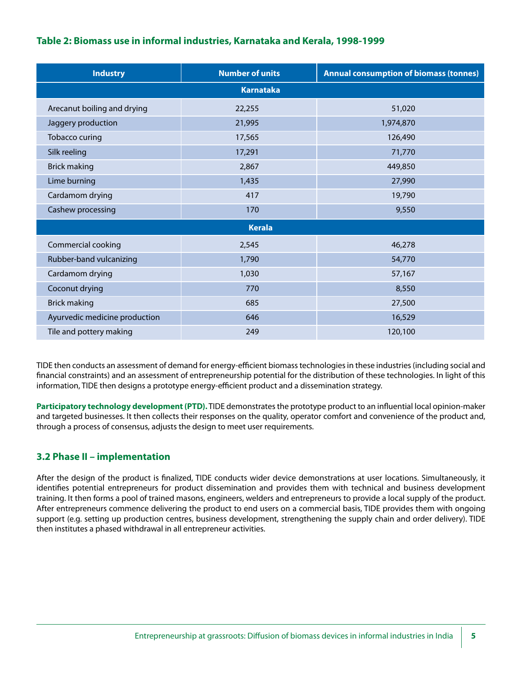### **Table 2: Biomass use in informal industries, Karnataka and Kerala, 1998-1999**

| <b>Industry</b>               | <b>Number of units</b> | <b>Annual consumption of biomass (tonnes)</b> |  |  |  |  |  |
|-------------------------------|------------------------|-----------------------------------------------|--|--|--|--|--|
| <b>Karnataka</b>              |                        |                                               |  |  |  |  |  |
| Arecanut boiling and drying   | 22,255                 | 51,020                                        |  |  |  |  |  |
| Jaggery production            | 21,995                 | 1,974,870                                     |  |  |  |  |  |
| Tobacco curing                | 17,565                 | 126,490                                       |  |  |  |  |  |
| Silk reeling                  | 17,291                 | 71,770                                        |  |  |  |  |  |
| <b>Brick making</b>           | 2,867                  | 449,850                                       |  |  |  |  |  |
| Lime burning                  | 1,435                  | 27,990                                        |  |  |  |  |  |
| Cardamom drying               | 417                    | 19,790                                        |  |  |  |  |  |
| Cashew processing             | 170                    | 9,550                                         |  |  |  |  |  |
| <b>Kerala</b>                 |                        |                                               |  |  |  |  |  |
| Commercial cooking            | 2,545                  | 46,278                                        |  |  |  |  |  |
| Rubber-band vulcanizing       | 1,790                  | 54,770                                        |  |  |  |  |  |
| Cardamom drying               | 1,030                  | 57,167                                        |  |  |  |  |  |
| Coconut drying                | 770                    | 8,550                                         |  |  |  |  |  |
| <b>Brick making</b>           | 685                    | 27,500                                        |  |  |  |  |  |
| Ayurvedic medicine production | 646                    | 16,529                                        |  |  |  |  |  |
| Tile and pottery making       | 249                    | 120,100                                       |  |  |  |  |  |

TIDE then conducts an assessment of demand for energy-efficient biomass technologies in these industries (including social and financial constraints) and an assessment of entrepreneurship potential for the distribution of these technologies. In light of this information, TIDE then designs a prototype energy-efficient product and a dissemination strategy.

**Participatory technology development (PTD).** TIDE demonstrates the prototype product to an influential local opinion-maker and targeted businesses. It then collects their responses on the quality, operator comfort and convenience of the product and, through a process of consensus, adjusts the design to meet user requirements.

### **3.2 Phase II – implementation**

After the design of the product is finalized, TIDE conducts wider device demonstrations at user locations. Simultaneously, it identifies potential entrepreneurs for product dissemination and provides them with technical and business development training. It then forms a pool of trained masons, engineers, welders and entrepreneurs to provide a local supply of the product. After entrepreneurs commence delivering the product to end users on a commercial basis, TIDE provides them with ongoing support (e.g. setting up production centres, business development, strengthening the supply chain and order delivery). TIDE then institutes a phased withdrawal in all entrepreneur activities.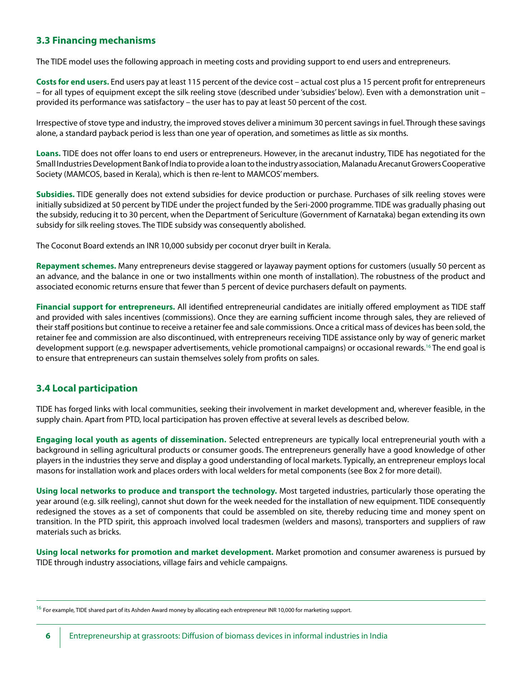### **3.3 Financing mechanisms**

The TIDE model uses the following approach in meeting costs and providing support to end users and entrepreneurs.

**Costs for end users.** End users pay at least 115 percent of the device cost – actual cost plus a 15 percent profit for entrepreneurs – for all types of equipment except the silk reeling stove (described under 'subsidies' below). Even with a demonstration unit – provided its performance was satisfactory – the user has to pay at least 50 percent of the cost.

Irrespective of stove type and industry, the improved stoves deliver a minimum 30 percent savings in fuel. Through these savings alone, a standard payback period is less than one year of operation, and sometimes as little as six months.

**Loans.** TIDE does not offer loans to end users or entrepreneurs. However, in the arecanut industry, TIDE has negotiated for the Small Industries Development Bank of India to provide a loan to the industry association, Malanadu Arecanut Growers Cooperative Society (MAMCOS, based in Kerala), which is then re-lent to MAMCOS' members.

**Subsidies.** TIDE generally does not extend subsidies for device production or purchase. Purchases of silk reeling stoves were initially subsidized at 50 percent by TIDE under the project funded by the Seri-2000 programme. TIDE was gradually phasing out the subsidy, reducing it to 30 percent, when the Department of Sericulture (Government of Karnataka) began extending its own subsidy for silk reeling stoves. The TIDE subsidy was consequently abolished.

The Coconut Board extends an INR 10,000 subsidy per coconut dryer built in Kerala.

**Repayment schemes.** Many entrepreneurs devise staggered or layaway payment options for customers (usually 50 percent as an advance, and the balance in one or two installments within one month of installation). The robustness of the product and associated economic returns ensure that fewer than 5 percent of device purchasers default on payments.

**Financial support for entrepreneurs.** All identified entrepreneurial candidates are initially offered employment as TIDE staff and provided with sales incentives (commissions). Once they are earning sufficient income through sales, they are relieved of their staff positions but continue to receive a retainer fee and sale commissions. Once a critical mass of devices has been sold, the retainer fee and commission are also discontinued, with entrepreneurs receiving TIDE assistance only by way of generic market development support (e.g. newspaper advertisements, vehicle promotional campaigns) or occasional rewards.16 The end goal is to ensure that entrepreneurs can sustain themselves solely from profits on sales.

### **3.4 Local participation**

TIDE has forged links with local communities, seeking their involvement in market development and, wherever feasible, in the supply chain. Apart from PTD, local participation has proven effective at several levels as described below.

**Engaging local youth as agents of dissemination.** Selected entrepreneurs are typically local entrepreneurial youth with a background in selling agricultural products or consumer goods. The entrepreneurs generally have a good knowledge of other players in the industries they serve and display a good understanding of local markets. Typically, an entrepreneur employs local masons for installation work and places orders with local welders for metal components (see Box 2 for more detail).

**Using local networks to produce and transport the technology.** Most targeted industries, particularly those operating the year around (e.g. silk reeling), cannot shut down for the week needed for the installation of new equipment. TIDE consequently redesigned the stoves as a set of components that could be assembled on site, thereby reducing time and money spent on transition. In the PTD spirit, this approach involved local tradesmen (welders and masons), transporters and suppliers of raw materials such as bricks.

**Using local networks for promotion and market development.** Market promotion and consumer awareness is pursued by TIDE through industry associations, village fairs and vehicle campaigns.

 $^{16}$  For example, TIDE shared part of its Ashden Award money by allocating each entrepreneur INR 10,000 for marketing support.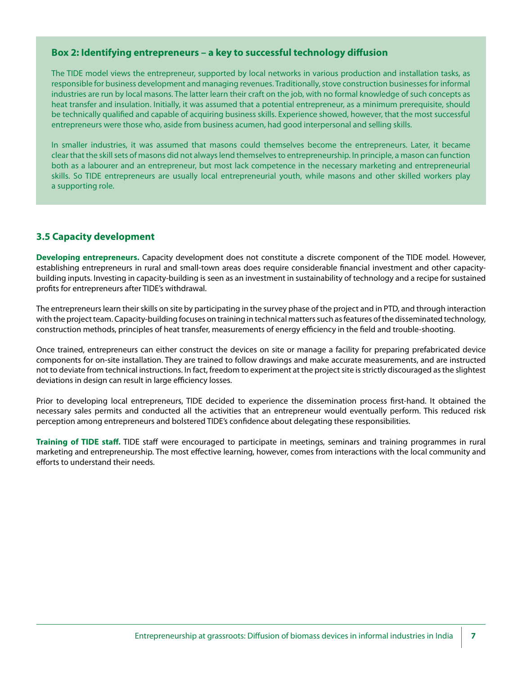#### **Box 2: Identifying entrepreneurs – a key to successful technology diffusion**

The TIDE model views the entrepreneur, supported by local networks in various production and installation tasks, as responsible for business development and managing revenues. Traditionally, stove construction businesses for informal industries are run by local masons. The latter learn their craft on the job, with no formal knowledge of such concepts as heat transfer and insulation. Initially, it was assumed that a potential entrepreneur, as a minimum prerequisite, should be technically qualified and capable of acquiring business skills. Experience showed, however, that the most successful entrepreneurs were those who, aside from business acumen, had good interpersonal and selling skills.

In smaller industries, it was assumed that masons could themselves become the entrepreneurs. Later, it became clear that the skill sets of masons did not always lend themselves to entrepreneurship. In principle, a mason can function both as a labourer and an entrepreneur, but most lack competence in the necessary marketing and entrepreneurial skills. So TIDE entrepreneurs are usually local entrepreneurial youth, while masons and other skilled workers play a supporting role.

### **3.5 Capacity development**

**Developing entrepreneurs.** Capacity development does not constitute a discrete component of the TIDE model. However, establishing entrepreneurs in rural and small-town areas does require considerable financial investment and other capacitybuilding inputs. Investing in capacity-building is seen as an investment in sustainability of technology and a recipe for sustained profits for entrepreneurs after TIDE's withdrawal.

The entrepreneurs learn their skills on site by participating in the survey phase of the project and in PTD, and through interaction with the project team. Capacity-building focuses on training in technical matters such as features of the disseminated technology, construction methods, principles of heat transfer, measurements of energy efficiency in the field and trouble-shooting.

Once trained, entrepreneurs can either construct the devices on site or manage a facility for preparing prefabricated device components for on-site installation. They are trained to follow drawings and make accurate measurements, and are instructed not to deviate from technical instructions. In fact, freedom to experiment at the project site is strictly discouraged as the slightest deviations in design can result in large efficiency losses.

Prior to developing local entrepreneurs, TIDE decided to experience the dissemination process first-hand. It obtained the necessary sales permits and conducted all the activities that an entrepreneur would eventually perform. This reduced risk perception among entrepreneurs and bolstered TIDE's confidence about delegating these responsibilities.

**Training of TIDE staff.** TIDE staff were encouraged to participate in meetings, seminars and training programmes in rural marketing and entrepreneurship. The most effective learning, however, comes from interactions with the local community and efforts to understand their needs.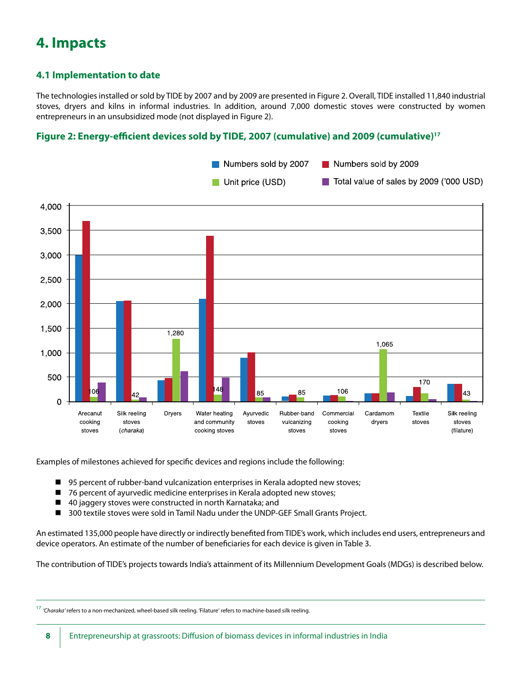# **4. Impacts**

### **4.1 Implementation to date**

The technologies installed or sold by TIDE by 2007 and by 2009 are presented in Figure 2. Overall, TIDE installed 11,840 industrial stoves, dryers and kilns in informal industries. In addition, around 7,000 domestic stoves were constructed by women entrepreneurs in an unsubsidized mode (not displayed in Figure 2).

### **Figure 2: Energy-efficient devices sold by TIDE, 2007 (cumulative) and 2009 (cumulative)17**



Examples of milestones achieved for specific devices and regions include the following:

- 95 percent of rubber-band vulcanization enterprises in Kerala adopted new stoves;
- 76 percent of ayurvedic medicine enterprises in Kerala adopted new stoves;
- $\blacksquare$  40 jaggery stoves were constructed in north Karnataka; and
- 300 textile stoves were sold in Tamil Nadu under the UNDP-GEF Small Grants Project.

An estimated 135,000 people have directly or indirectly benefited from TIDE's work, which includes end users, entrepreneurs and device operators. An estimate of the number of beneficiaries for each device is given in Table 3.

The contribution of TIDE's projects towards India's attainment of its Millennium Development Goals (MDGs) is described below.

<sup>17</sup> *'Charaka'* refers to a non-mechanized, wheel-based silk reeling. 'Filature' refers to machine-based silk reeling.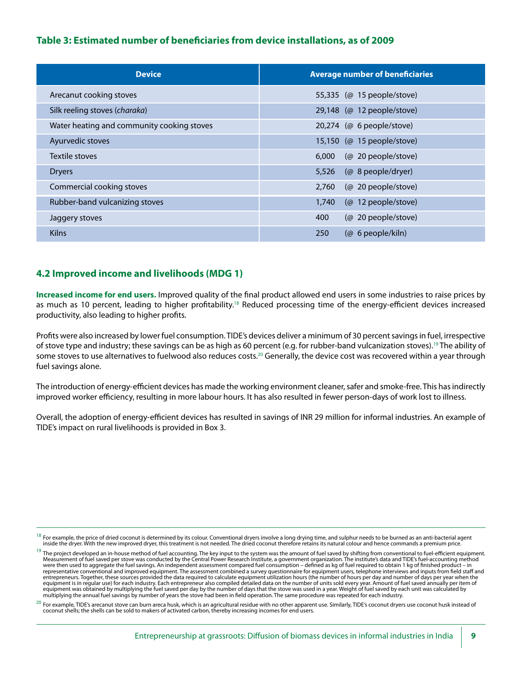### **Table 3: Estimated number of beneficiaries from device installations, as of 2009**

| <b>Device</b>                              | <b>Average number of beneficiaries</b> |
|--------------------------------------------|----------------------------------------|
| Arecanut cooking stoves                    | 55,335 (@ 15 people/stove)             |
| Silk reeling stoves (charaka)              | 29,148 (@ 12 people/stove)             |
| Water heating and community cooking stoves | 20,274 (@ 6 people/stove)              |
| Ayurvedic stoves                           | 15,150 (@ 15 people/stove)             |
| Textile stoves                             | (@ 20 people/stove)<br>6,000           |
| <b>Dryers</b>                              | 5,526<br>(@ 8 people/dryer)            |
| Commercial cooking stoves                  | 2,760<br>(@ 20 people/stove)           |
| Rubber-band vulcanizing stoves             | (@ 12 people/stove)<br>1,740           |
| Jaggery stoves                             | (@ 20 people/stove)<br>400             |
| <b>Kilns</b>                               | 250<br>$(\varnothing$ 6 people/kiln)   |

### **4.2 Improved income and livelihoods (MDG 1)**

**Increased income for end users.** Improved quality of the final product allowed end users in some industries to raise prices by as much as 10 percent, leading to higher profitability.<sup>18</sup> Reduced processing time of the energy-efficient devices increased productivity, also leading to higher profits.

Profits were also increased by lower fuel consumption. TIDE's devices deliver a minimum of 30 percent savings in fuel, irrespective of stove type and industry; these savings can be as high as 60 percent (e.g. for rubber-band vulcanization stoves).<sup>19</sup> The ability of some stoves to use alternatives to fuelwood also reduces costs.<sup>20</sup> Generally, the device cost was recovered within a year through fuel savings alone.

The introduction of energy-efficient devices has made the working environment cleaner, safer and smoke-free. This has indirectly improved worker efficiency, resulting in more labour hours. It has also resulted in fewer person-days of work lost to illness.

Overall, the adoption of energy-efficient devices has resulted in savings of INR 29 million for informal industries. An example of TIDE's impact on rural livelihoods is provided in Box 3.

For example, the price of dried coconut is determined by its colour. Conventional dryers involve a long drying time, and sulphur needs to be burned as an anti-bacterial agent inside the dryer. With the new improved dryer, this treatment is not needed. The dried coconut therefore retains its natural colour and hence commands a premium price.

<sup>&</sup>lt;sup>19</sup> The project developed an in-house method of fuel accounting. The key input to the system was the amount of fuel saved by shifting from conventional to fuel-efficient equipment. Measurement of fuel saved per stove was conducted by the Central Power Research Institute, a government organization. The institute's data and TIDE's fuel-accounting method were then used to aggregate the fuel savings. An independent assessment compared fuel consumption – defined as kg of fuel required to obtain 1 kg of finished product – in representative conventional and improved equipment. The assessment combined a survey questionnaire for equipment users, telephone interviews and inputs from field staff and entrepreneurs. Together, these sources provided the data required to calculate equipment utilization hours (the number of hours per day and number of days per year when the equipment is in regular use) for each industry. Each entrepreneur also compiled detailed data on the number of units sold every year. Amount of fuel saved annually per item of<br>equipment was obtained by multiplying the fuel multiplying the annual fuel savings by number of years the stove had been in field operation. The same procedure was repeated for each industry.

 $^{20}$  For example, TIDE's arecanut stove can burn areca husk, which is an agricultural residue with no other apparent use. Similarly, TIDE's coconut dryers use coconut husk instead of coconut shells; the shells can be sold to makers of activated carbon, thereby increasing incomes for end users.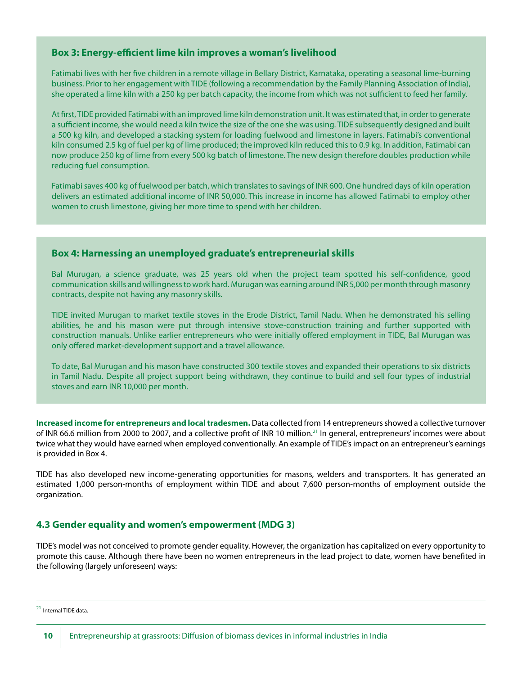#### **Box 3: Energy-efficient lime kiln improves a woman's livelihood**

Fatimabi lives with her five children in a remote village in Bellary District, Karnataka, operating a seasonal lime-burning business. Prior to her engagement with TIDE (following a recommendation by the Family Planning Association of India), she operated a lime kiln with a 250 kg per batch capacity, the income from which was not sufficient to feed her family.

At first, TIDE provided Fatimabi with an improved lime kiln demonstration unit. It was estimated that, in order to generate a sufficient income, she would need a kiln twice the size of the one she was using. TIDE subsequently designed and built a 500 kg kiln, and developed a stacking system for loading fuelwood and limestone in layers. Fatimabi's conventional kiln consumed 2.5 kg of fuel per kg of lime produced; the improved kiln reduced this to 0.9 kg. In addition, Fatimabi can now produce 250 kg of lime from every 500 kg batch of limestone. The new design therefore doubles production while reducing fuel consumption.

Fatimabi saves 400 kg of fuelwood per batch, which translates to savings of INR 600. One hundred days of kiln operation delivers an estimated additional income of INR 50,000. This increase in income has allowed Fatimabi to employ other women to crush limestone, giving her more time to spend with her children.

### **Box 4: Harnessing an unemployed graduate's entrepreneurial skills**

Bal Murugan, a science graduate, was 25 years old when the project team spotted his self-confidence, good communication skills and willingness to work hard. Murugan was earning around INR 5,000 per month through masonry contracts, despite not having any masonry skills.

TIDE invited Murugan to market textile stoves in the Erode District, Tamil Nadu. When he demonstrated his selling abilities, he and his mason were put through intensive stove-construction training and further supported with construction manuals. Unlike earlier entrepreneurs who were initially offered employment in TIDE, Bal Murugan was only offered market-development support and a travel allowance.

To date, Bal Murugan and his mason have constructed 300 textile stoves and expanded their operations to six districts in Tamil Nadu. Despite all project support being withdrawn, they continue to build and sell four types of industrial stoves and earn INR 10,000 per month.

**Increased income for entrepreneurs and local tradesmen.** Data collected from 14 entrepreneurs showed a collective turnover of INR 66.6 million from 2000 to 2007, and a collective profit of INR 10 million.<sup>21</sup> In general, entrepreneurs' incomes were about twice what they would have earned when employed conventionally. An example of TIDE's impact on an entrepreneur's earnings is provided in Box 4.

TIDE has also developed new income-generating opportunities for masons, welders and transporters. It has generated an estimated 1,000 person-months of employment within TIDE and about 7,600 person-months of employment outside the organization.

#### **4.3 Gender equality and women's empowerment (MDG 3)**

TIDE's model was not conceived to promote gender equality. However, the organization has capitalized on every opportunity to promote this cause. Although there have been no women entrepreneurs in the lead project to date, women have benefited in the following (largely unforeseen) ways:

<sup>&</sup>lt;sup>21</sup> Internal TIDE data.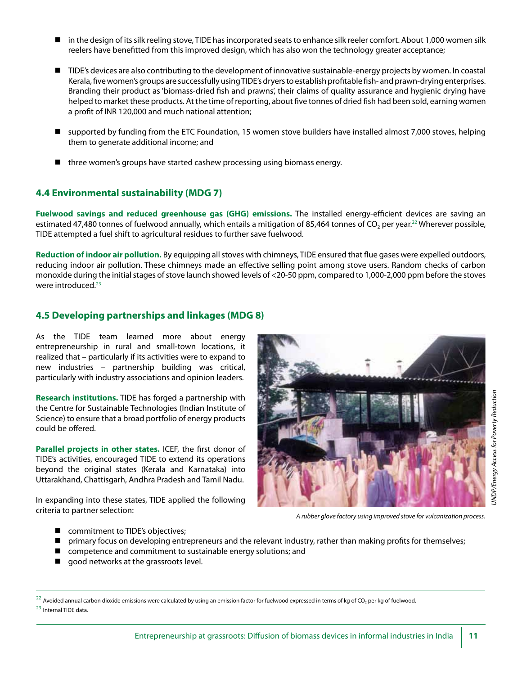- in the design of its silk reeling stove, TIDE has incorporated seats to enhance silk reeler comfort. About 1,000 women silk reelers have benefitted from this improved design, which has also won the technology greater acceptance;
- TIDE's devices are also contributing to the development of innovative sustainable-energy projects by women. In coastal Kerala, five women's groups are successfully using TIDE's dryers to establish profitable fish- and prawn-drying enterprises. Branding their product as 'biomass-dried fish and prawns', their claims of quality assurance and hygienic drying have helped to market these products. At the time of reporting, about five tonnes of dried fish had been sold, earning women a profit of INR 120,000 and much national attention;
- supported by funding from the ETC Foundation, 15 women stove builders have installed almost 7,000 stoves, helping them to generate additional income; and
- $\blacksquare$  three women's groups have started cashew processing using biomass energy.

### **4.4 Environmental sustainability (MDG 7)**

**Fuelwood savings and reduced greenhouse gas (GHG) emissions.** The installed energy-efficient devices are saving an estimated 47,480 tonnes of fuelwood annually, which entails a mitigation of 85,464 tonnes of CO<sub>2</sub> per year.<sup>22</sup> Wherever possible, TIDE attempted a fuel shift to agricultural residues to further save fuelwood.

**Reduction of indoor air pollution.** By equipping all stoves with chimneys, TIDE ensured that flue gases were expelled outdoors, reducing indoor air pollution. These chimneys made an effective selling point among stove users. Random checks of carbon monoxide during the initial stages of stove launch showed levels of <20-50 ppm, compared to 1,000-2,000 ppm before the stoves were introduced.<sup>23</sup>

### **4.5 Developing partnerships and linkages (MDG 8)**

As the TIDE team learned more about energy entrepreneurship in rural and small-town locations, it realized that – particularly if its activities were to expand to new industries – partnership building was critical, particularly with industry associations and opinion leaders.

**Research institutions.** TIDE has forged a partnership with the Centre for Sustainable Technologies (Indian Institute of Science) to ensure that a broad portfolio of energy products could be offered.

**Parallel projects in other states.** ICEF, the first donor of TIDE's activities, encouraged TIDE to extend its operations beyond the original states (Kerala and Karnataka) into Uttarakhand, Chattisgarh, Andhra Pradesh and Tamil Nadu.

In expanding into these states, TIDE applied the following criteria to partner selection:



*A rubber glove factory using improved stove for vulcanization process.*

- commitment to TIDE's objectives;
- $\blacksquare$  primary focus on developing entrepreneurs and the relevant industry, rather than making profits for themselves;
- $\Box$  competence and commitment to sustainable energy solutions; and
- $\Box$  good networks at the grassroots level.

 $^{22}$  Avoided annual carbon dioxide emissions were calculated by using an emission factor for fuelwood expressed in terms of kg of CO<sub>2</sub> per kg of fuelwood.

<sup>23</sup> Internal TIDE data.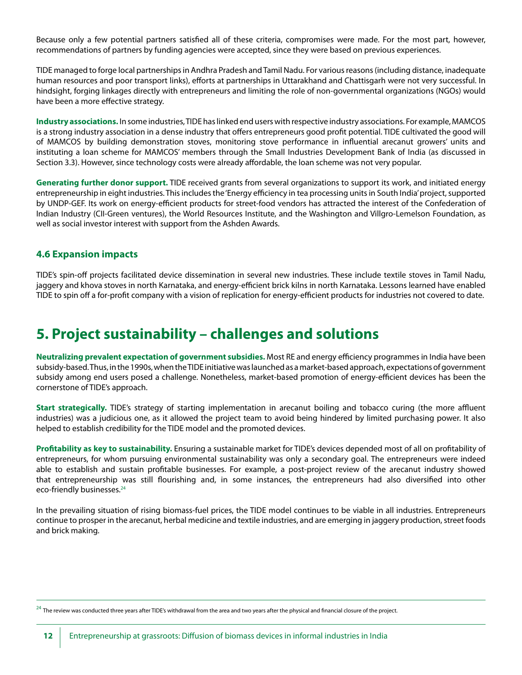Because only a few potential partners satisfied all of these criteria, compromises were made. For the most part, however, recommendations of partners by funding agencies were accepted, since they were based on previous experiences.

TIDE managed to forge local partnerships in Andhra Pradesh and Tamil Nadu. For various reasons (including distance, inadequate human resources and poor transport links), efforts at partnerships in Uttarakhand and Chattisgarh were not very successful. In hindsight, forging linkages directly with entrepreneurs and limiting the role of non-governmental organizations (NGOs) would have been a more effective strategy.

**Industry associations.** In some industries, TIDE has linked end users with respective industry associations. For example, MAMCOS is a strong industry association in a dense industry that offers entrepreneurs good profit potential. TIDE cultivated the good will of MAMCOS by building demonstration stoves, monitoring stove performance in influential arecanut growers' units and instituting a loan scheme for MAMCOS' members through the Small Industries Development Bank of India (as discussed in Section 3.3). However, since technology costs were already affordable, the loan scheme was not very popular.

**Generating further donor support.** TIDE received grants from several organizations to support its work, and initiated energy entrepreneurship in eight industries. This includes the 'Energy efficiency in tea processing units in South India' project, supported by UNDP-GEF. Its work on energy-efficient products for street-food vendors has attracted the interest of the Confederation of Indian Industry (CII-Green ventures), the World Resources Institute, and the Washington and Villgro-Lemelson Foundation, as well as social investor interest with support from the Ashden Awards.

### **4.6 Expansion impacts**

TIDE's spin-off projects facilitated device dissemination in several new industries. These include textile stoves in Tamil Nadu, jaggery and khova stoves in north Karnataka, and energy-efficient brick kilns in north Karnataka. Lessons learned have enabled TIDE to spin off a for-profit company with a vision of replication for energy-efficient products for industries not covered to date.

### **5. Project sustainability – challenges and solutions**

**Neutralizing prevalent expectation of government subsidies.** Most RE and energy efficiency programmes in India have been subsidy-based. Thus, in the 1990s, when the TIDE initiative was launched as a market-based approach, expectations of government subsidy among end users posed a challenge. Nonetheless, market-based promotion of energy-efficient devices has been the cornerstone of TIDE's approach.

**Start strategically.** TIDE's strategy of starting implementation in arecanut boiling and tobacco curing (the more affluent industries) was a judicious one, as it allowed the project team to avoid being hindered by limited purchasing power. It also helped to establish credibility for the TIDE model and the promoted devices.

**Profitability as key to sustainability.** Ensuring a sustainable market for TIDE's devices depended most of all on profitability of entrepreneurs, for whom pursuing environmental sustainability was only a secondary goal. The entrepreneurs were indeed able to establish and sustain profitable businesses. For example, a post-project review of the arecanut industry showed that entrepreneurship was still flourishing and, in some instances, the entrepreneurs had also diversified into other eco-friendly businesses.<sup>24</sup>

In the prevailing situation of rising biomass-fuel prices, the TIDE model continues to be viable in all industries. Entrepreneurs continue to prosper in the arecanut, herbal medicine and textile industries, and are emerging in jaggery production, street foods and brick making.

 $^{24}$  The review was conducted three years after TIDE's withdrawal from the area and two years after the physical and financial closure of the project.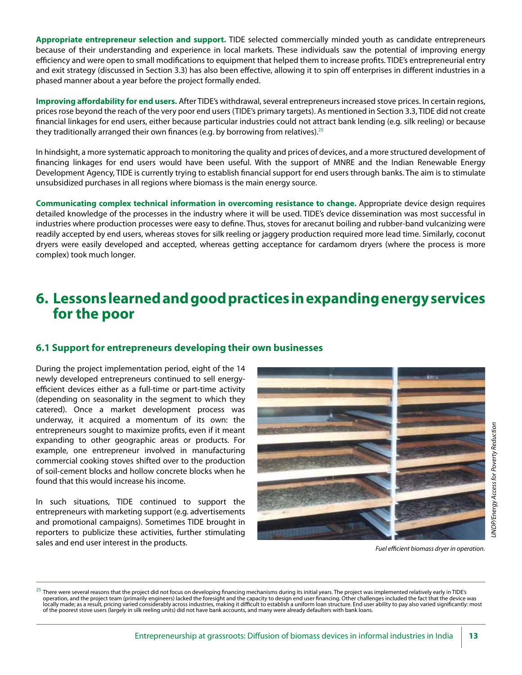**Appropriate entrepreneur selection and support.** TIDE selected commercially minded youth as candidate entrepreneurs because of their understanding and experience in local markets. These individuals saw the potential of improving energy efficiency and were open to small modifications to equipment that helped them to increase profits. TIDE's entrepreneurial entry and exit strategy (discussed in Section 3.3) has also been effective, allowing it to spin off enterprises in different industries in a phased manner about a year before the project formally ended.

**Improving affordability for end users.** After TIDE's withdrawal, several entrepreneurs increased stove prices. In certain regions, prices rose beyond the reach of the very poor end users (TIDE's primary targets). As mentioned in Section 3.3, TIDE did not create financial linkages for end users, either because particular industries could not attract bank lending (e.g. silk reeling) or because they traditionally arranged their own finances (e.g. by borrowing from relatives).<sup>25</sup>

In hindsight, a more systematic approach to monitoring the quality and prices of devices, and a more structured development of financing linkages for end users would have been useful. With the support of MNRE and the Indian Renewable Energy Development Agency, TIDE is currently trying to establish financial support for end users through banks. The aim is to stimulate unsubsidized purchases in all regions where biomass is the main energy source.

**Communicating complex technical information in overcoming resistance to change.** Appropriate device design requires detailed knowledge of the processes in the industry where it will be used. TIDE's device dissemination was most successful in industries where production processes were easy to define. Thus, stoves for arecanut boiling and rubber-band vulcanizing were readily accepted by end users, whereas stoves for silk reeling or jaggery production required more lead time. Similarly, coconut dryers were easily developed and accepted, whereas getting acceptance for cardamom dryers (where the process is more complex) took much longer.

### **6. Lessons learned and good practices in expanding energy services for the poor**

### **6.1 Support for entrepreneurs developing their own businesses**

During the project implementation period, eight of the 14 newly developed entrepreneurs continued to sell energyefficient devices either as a full-time or part-time activity (depending on seasonality in the segment to which they catered). Once a market development process was underway, it acquired a momentum of its own: the entrepreneurs sought to maximize profits, even if it meant expanding to other geographic areas or products. For example, one entrepreneur involved in manufacturing commercial cooking stoves shifted over to the production of soil-cement blocks and hollow concrete blocks when he found that this would increase his income.

In such situations, TIDE continued to support the entrepreneurs with marketing support (e.g. advertisements and promotional campaigns). Sometimes TIDE brought in reporters to publicize these activities, further stimulating sales and end user interest in the products.



 $^{25}$  There were several reasons that the project did not focus on developing financing mechanisms during its initial years. The project was implemented relatively early in TIDE's operation, and the project team (primarily engineers) lacked the foresight and the capacity to design end user financing. Other challenges included the fact that the device was locally made; as a result, pricing varied considerably across industries, making it difficult to establish a uniform loan structure. End user ability to pay also varied significantly: most of the poorest stove users (largely in silk reeling units) did not have bank accounts, and many were already defaulters with bank loans.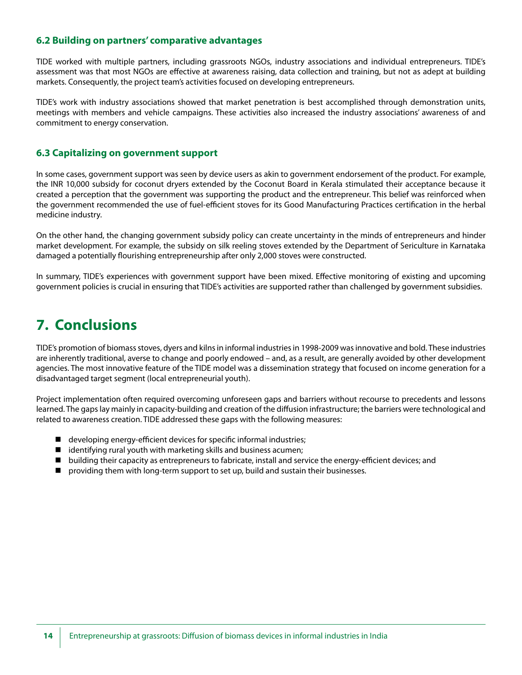### **6.2 Building on partners' comparative advantages**

TIDE worked with multiple partners, including grassroots NGOs, industry associations and individual entrepreneurs. TIDE's assessment was that most NGOs are effective at awareness raising, data collection and training, but not as adept at building markets. Consequently, the project team's activities focused on developing entrepreneurs.

TIDE's work with industry associations showed that market penetration is best accomplished through demonstration units, meetings with members and vehicle campaigns. These activities also increased the industry associations' awareness of and commitment to energy conservation.

#### **6.3 Capitalizing on government support**

In some cases, government support was seen by device users as akin to government endorsement of the product. For example, the INR 10,000 subsidy for coconut dryers extended by the Coconut Board in Kerala stimulated their acceptance because it created a perception that the government was supporting the product and the entrepreneur. This belief was reinforced when the government recommended the use of fuel-efficient stoves for its Good Manufacturing Practices certification in the herbal medicine industry.

On the other hand, the changing government subsidy policy can create uncertainty in the minds of entrepreneurs and hinder market development. For example, the subsidy on silk reeling stoves extended by the Department of Sericulture in Karnataka damaged a potentially flourishing entrepreneurship after only 2,000 stoves were constructed.

In summary, TIDE's experiences with government support have been mixed. Effective monitoring of existing and upcoming government policies is crucial in ensuring that TIDE's activities are supported rather than challenged by government subsidies.

### **7. Conclusions**

TIDE's promotion of biomass stoves, dyers and kilns in informal industries in 1998-2009 was innovative and bold. These industries are inherently traditional, averse to change and poorly endowed – and, as a result, are generally avoided by other development agencies. The most innovative feature of the TIDE model was a dissemination strategy that focused on income generation for a disadvantaged target segment (local entrepreneurial youth).

Project implementation often required overcoming unforeseen gaps and barriers without recourse to precedents and lessons learned. The gaps lay mainly in capacity-building and creation of the diffusion infrastructure; the barriers were technological and related to awareness creation. TIDE addressed these gaps with the following measures:

- developing energy-efficient devices for specific informal industries;
- $\blacksquare$  identifying rural youth with marketing skills and business acumen;
- $\blacksquare$  building their capacity as entrepreneurs to fabricate, install and service the energy-efficient devices; and
- $\blacksquare$  providing them with long-term support to set up, build and sustain their businesses.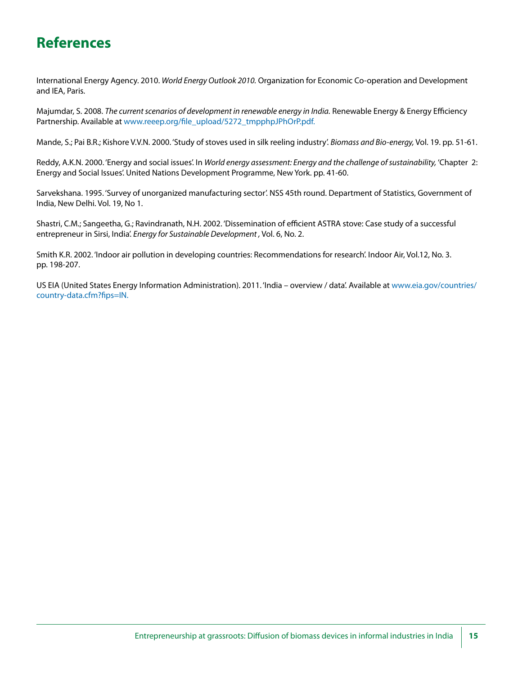# **References**

International Energy Agency. 2010. *World Energy Outlook 2010.* Organization for Economic Co-operation and Development and IEA, Paris.

Majumdar, S. 2008. *The current scenarios of development in renewable energy in India.* Renewable Energy & Energy Efficiency Partnership. Available at www.reeep.org/file\_upload/5272\_tmpphpJPhOrP.pdf.

Mande, S.; Pai B.R.; Kishore V.V.N. 2000. 'Study of stoves used in silk reeling industry'. *Biomass and Bio-energy,* Vol. 19. pp. 51-61.

Reddy, A.K.N. 2000. 'Energy and social issues'. In *World energy assessment: Energy and the challenge of sustainability,* 'Chapter 2: Energy and Social Issues'. United Nations Development Programme, New York. pp. 41-60.

Sarvekshana. 1995. 'Survey of unorganized manufacturing sector'. NSS 45th round. Department of Statistics, Government of India, New Delhi. Vol. 19, No 1.

Shastri, C.M.; Sangeetha, G.; Ravindranath, N.H. 2002. 'Dissemination of efficient ASTRA stove: Case study of a successful entrepreneur in Sirsi, India'. *Energy for Sustainable Development ,* Vol. 6, No. 2.

Smith K.R. 2002. 'Indoor air pollution in developing countries: Recommendations for research'. Indoor Air, Vol.12, No. 3. pp. 198-207.

US EIA (United States Energy Information Administration). 2011. 'India – overview / data'. Available at www.eia.gov/countries/ country-data.cfm?fips=IN.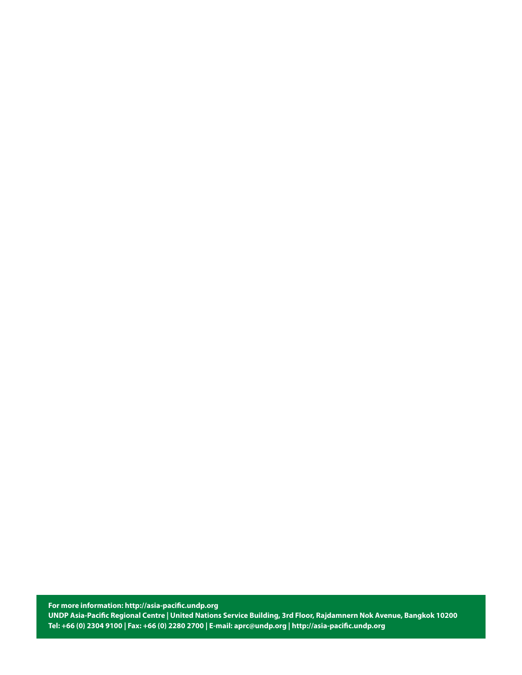**For more information: http://asia-pacific.undp.org UNDP Asia-Pacific Regional Centre | United Nations Service Building, 3rd Floor, Rajdamnern Nok Avenue, Bangkok 10200 Tel: +66 (0) 2304 9100 | Fax: +66 (0) 2280 2700 | E-mail: aprc@undp.org | http://asia-pacific.undp.org**